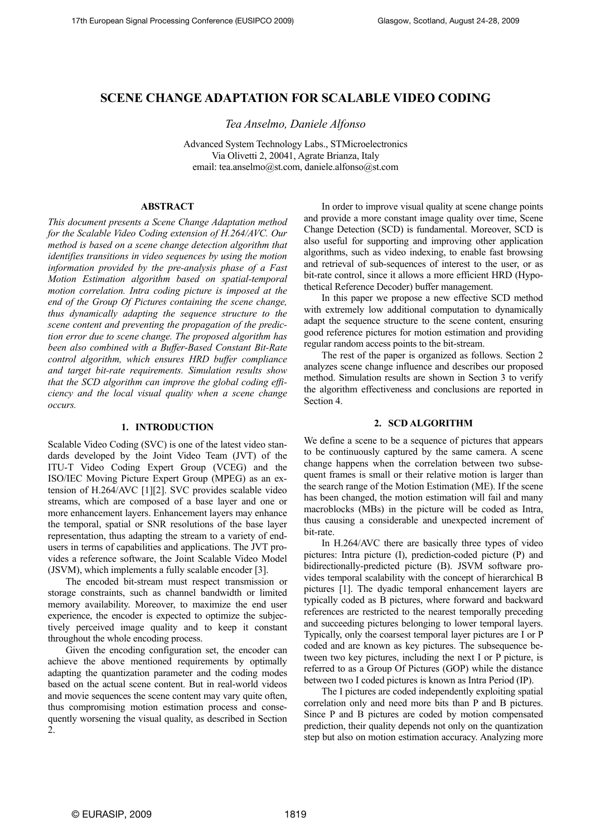# **SCENE CHANGE ADAPTATION FOR SCALABLE VIDEO CODING**

*Tea Anselmo, Daniele Alfonso* 

Advanced System Technology Labs., STMicroelectronics Via Olivetti 2, 20041, Agrate Brianza, Italy email: tea.anselmo@st.com, daniele.alfonso@st.com

#### **ABSTRACT**

*This document presents a Scene Change Adaptation method for the Scalable Video Coding extension of H.264/AVC. Our method is based on a scene change detection algorithm that identifies transitions in video sequences by using the motion information provided by the pre-analysis phase of a Fast Motion Estimation algorithm based on spatial-temporal motion correlation. Intra coding picture is imposed at the end of the Group Of Pictures containing the scene change, thus dynamically adapting the sequence structure to the scene content and preventing the propagation of the prediction error due to scene change. The proposed algorithm has been also combined with a Buffer-Based Constant Bit-Rate control algorithm, which ensures HRD buffer compliance and target bit-rate requirements. Simulation results show that the SCD algorithm can improve the global coding efficiency and the local visual quality when a scene change occurs.* 

#### **1. INTRODUCTION**

Scalable Video Coding (SVC) is one of the latest video standards developed by the Joint Video Team (JVT) of the ITU-T Video Coding Expert Group (VCEG) and the ISO/IEC Moving Picture Expert Group (MPEG) as an extension of H.264/AVC [\[1\]](#page-3-0)[\[2\].](#page-3-1) SVC provides scalable video streams, which are composed of a base layer and one or more enhancement layers. Enhancement layers may enhance the temporal, spatial or SNR resolutions of the base layer representation, thus adapting the stream to a variety of endusers in terms of capabilities and applications. The JVT provides a reference software, the Joint Scalable Video Model (JSVM), which implements a fully scalable encoder [\[3\].](#page-3-2)

The encoded bit-stream must respect transmission or storage constraints, such as channel bandwidth or limited memory availability. Moreover, to maximize the end user experience, the encoder is expected to optimize the subjectively perceived image quality and to keep it constant throughout the whole encoding process.

Given the encoding configuration set, the encoder can achieve the above mentioned requirements by optimally adapting the quantization parameter and the coding modes based on the actual scene content. But in real-world videos and movie sequences the scene content may vary quite often, thus compromising motion estimation process and consequently worsening the visual quality, as described in Section 2.

In order to improve visual quality at scene change points and provide a more constant image quality over time, Scene Change Detection (SCD) is fundamental. Moreover, SCD is also useful for supporting and improving other application algorithms, such as video indexing, to enable fast browsing and retrieval of sub-sequences of interest to the user, or as bit-rate control, since it allows a more efficient HRD (Hypothetical Reference Decoder) buffer management.

In this paper we propose a new effective SCD method with extremely low additional computation to dynamically adapt the sequence structure to the scene content, ensuring good reference pictures for motion estimation and providing regular random access points to the bit-stream.

The rest of the paper is organized as follows. Section 2 analyzes scene change influence and describes our proposed method. Simulation results are shown in Section 3 to verify the algorithm effectiveness and conclusions are reported in Section 4.

#### **2. SCD ALGORITHM**

We define a scene to be a sequence of pictures that appears to be continuously captured by the same camera. A scene change happens when the correlation between two subsequent frames is small or their relative motion is larger than the search range of the Motion Estimation (ME). If the scene has been changed, the motion estimation will fail and many macroblocks (MBs) in the picture will be coded as Intra, thus causing a considerable and unexpected increment of bit-rate.

In H.264/AVC there are basically three types of video pictures: Intra picture (I), prediction-coded picture (P) and bidirectionally-predicted picture (B). JSVM software provides temporal scalability with the concept of hierarchical B pictures [\[1\].](#page-3-0) The dyadic temporal enhancement layers are typically coded as B pictures, where forward and backward references are restricted to the nearest temporally preceding and succeeding pictures belonging to lower temporal layers. Typically, only the coarsest temporal layer pictures are I or P coded and are known as key pictures. The subsequence between two key pictures, including the next I or P picture, is referred to as a Group Of Pictures (GOP) while the distance between two I coded pictures is known as Intra Period (IP).

The I pictures are coded independently exploiting spatial correlation only and need more bits than P and B pictures. Since P and B pictures are coded by motion compensated prediction, their quality depends not only on the quantization step but also on motion estimation accuracy. Analyzing more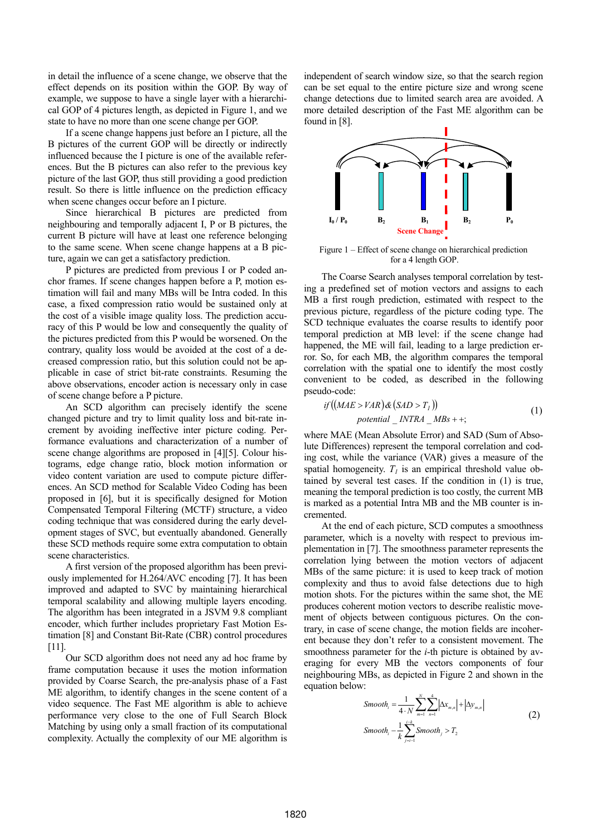in detail the influence of a scene change, we observe that the effect depends on its position within the GOP. By way of example, we suppose to have a single layer with a hierarchical GOP of 4 pictures length, as depicted in Figure 1, and we state to have no more than one scene change per GOP.

If a scene change happens just before an I picture, all the B pictures of the current GOP will be directly or indirectly influenced because the I picture is one of the available references. But the B pictures can also refer to the previous key picture of the last GOP, thus still providing a good prediction result. So there is little influence on the prediction efficacy when scene changes occur before an I picture.

Since hierarchical B pictures are predicted from neighbouring and temporally adjacent I, P or B pictures, the current B picture will have at least one reference belonging to the same scene. When scene change happens at a B picture, again we can get a satisfactory prediction.

P pictures are predicted from previous I or P coded anchor frames. If scene changes happen before a P, motion estimation will fail and many MBs will be Intra coded. In this case, a fixed compression ratio would be sustained only at the cost of a visible image quality loss. The prediction accuracy of this P would be low and consequently the quality of the pictures predicted from this P would be worsened. On the contrary, quality loss would be avoided at the cost of a decreased compression ratio, but this solution could not be applicable in case of strict bit-rate constraints. Resuming the above observations, encoder action is necessary only in case of scene change before a P picture.

An SCD algorithm can precisely identify the scene changed picture and try to limit quality loss and bit-rate increment by avoiding ineffective inter picture coding. Performance evaluations and characterization of a number of scene change algorithms are proposed in [\[4\]](#page-3-3)[\[5\].](#page-3-4) Colour histograms, edge change ratio, block motion information or video content variation are used to compute picture differences. An SCD method for Scalable Video Coding has been proposed in [\[6\],](#page-3-5) but it is specifically designed for Motion Compensated Temporal Filtering (MCTF) structure, a video coding technique that was considered during the early development stages of SVC, but eventually abandoned. Generally these SCD methods require some extra computation to obtain scene characteristics.

A first version of the proposed algorithm has been previously implemented for H.264/AVC encoding [\[7\].](#page-3-6) It has been improved and adapted to SVC by maintaining hierarchical temporal scalability and allowing multiple layers encoding. The algorithm has been integrated in a JSVM 9.8 compliant encoder, which further includes proprietary Fast Motion Estimation [\[8\]](#page-3-7) and Constant Bit-Rate (CBR) control procedures [\[11\].](#page-4-0)

Our SCD algorithm does not need any ad hoc frame by frame computation because it uses the motion information provided by Coarse Search, the pre-analysis phase of a Fast ME algorithm, to identify changes in the scene content of a video sequence. The Fast ME algorithm is able to achieve performance very close to the one of Full Search Block Matching by using only a small fraction of its computational complexity. Actually the complexity of our ME algorithm is independent of search window size, so that the search region can be set equal to the entire picture size and wrong scene change detections due to limited search area are avoided. A more detailed description of the Fast ME algorithm can be found in [\[8\].](#page-3-7)



Figure 1 – Effect of scene change on hierarchical prediction for a 4 length GOP.

The Coarse Search analyses temporal correlation by testing a predefined set of motion vectors and assigns to each MB a first rough prediction, estimated with respect to the previous picture, regardless of the picture coding type. The SCD technique evaluates the coarse results to identify poor temporal prediction at MB level: if the scene change had happened, the ME will fail, leading to a large prediction error. So, for each MB, the algorithm compares the temporal correlation with the spatial one to identify the most costly convenient to be coded, as described in the following pseudo-code:

$$
if ((MAE > VAR) & (SAD > T1))
$$
  
potential \_INTRA \_ MBs + +; (1)

where MAE (Mean Absolute Error) and SAD (Sum of Absolute Differences) represent the temporal correlation and coding cost, while the variance (VAR) gives a measure of the spatial homogeneity.  $T<sub>l</sub>$  is an empirical threshold value obtained by several test cases. If the condition in (1) is true, meaning the temporal prediction is too costly, the current MB is marked as a potential Intra MB and the MB counter is incremented.

At the end of each picture, SCD computes a smoothness parameter, which is a novelty with respect to previous implementation in [\[7\].](#page-3-6) The smoothness parameter represents the correlation lying between the motion vectors of adjacent MBs of the same picture: it is used to keep track of motion complexity and thus to avoid false detections due to high motion shots. For the pictures within the same shot, the ME produces coherent motion vectors to describe realistic movement of objects between contiguous pictures. On the contrary, in case of scene change, the motion fields are incoherent because they don't refer to a consistent movement. The smoothness parameter for the *i*-th picture is obtained by averaging for every MB the vectors components of four neighbouring MBs, as depicted in Figure 2 and shown in the equation below:

$$
Smooth_{i} = \frac{1}{4 \cdot N} \sum_{m=1}^{N} \sum_{n=1}^{4} |\Delta x_{m,n}| + |\Delta y_{m,n}|
$$
  
\n
$$
Smooth_{i} - \frac{1}{k} \sum_{j=i-1}^{i-k} Smooth_{j} > T_{2}
$$
\n(2)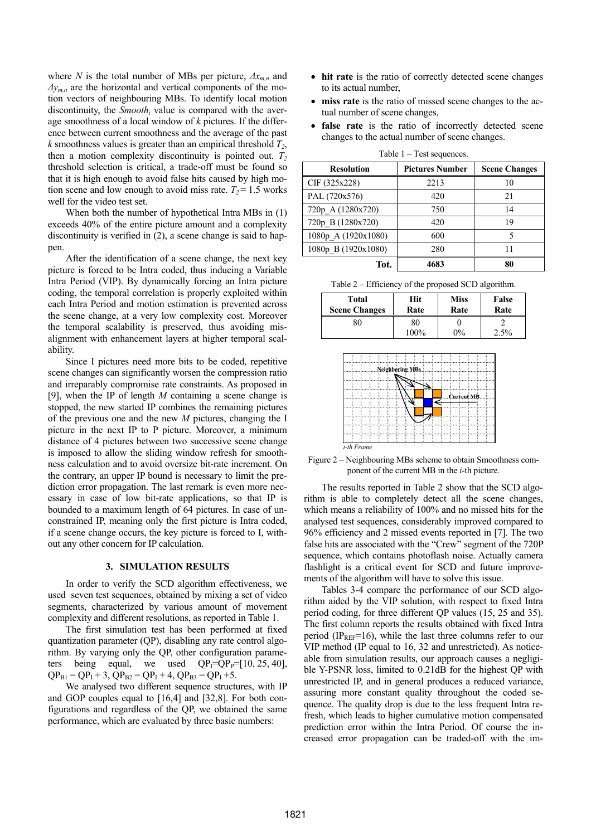where *N* is the total number of MBs per picture,  $\Delta x_{m,n}$  and *∆ym,n* are the horizontal and vertical components of the motion vectors of neighbouring MBs. To identify local motion discontinuity, the *Smooth<sub>i</sub>* value is compared with the average smoothness of a local window of *k* pictures. If the difference between current smoothness and the average of the past  $k$  smoothness values is greater than an empirical threshold  $T_2$ , then a motion complexity discontinuity is pointed out.  $T_2$ threshold selection is critical, a trade-off must be found so that it is high enough to avoid false hits caused by high motion scene and low enough to avoid miss rate.  $T_2 = 1.5$  works well for the video test set.

When both the number of hypothetical Intra MBs in (1) exceeds 40% of the entire picture amount and a complexity discontinuity is verified in (2), a scene change is said to happen.

After the identification of a scene change, the next key picture is forced to be Intra coded, thus inducing a Variable Intra Period (VIP). By dynamically forcing an Intra picture coding, the temporal correlation is properly exploited within each Intra Period and motion estimation is prevented across the scene change, at a very low complexity cost. Moreover the temporal scalability is preserved, thus avoiding misalignment with enhancement layers at higher temporal scalability.

Since I pictures need more bits to be coded, repetitive scene changes can significantly worsen the compression ratio and irreparably compromise rate constraints. As proposed in [\[9\],](#page-4-1) when the IP of length *M* containing a scene change is stopped, the new started IP combines the remaining pictures of the previous one and the new *M* pictures, changing the I picture in the next IP to P picture. Moreover, a minimum distance of 4 pictures between two successive scene change is imposed to allow the sliding window refresh for smoothness calculation and to avoid oversize bit-rate increment. On the contrary, an upper IP bound is necessary to limit the prediction error propagation. The last remark is even more necessary in case of low bit-rate applications, so that IP is bounded to a maximum length of 64 pictures. In case of unconstrained IP, meaning only the first picture is Intra coded, if a scene change occurs, the key picture is forced to I, without any other concern for IP calculation.

#### **3. SIMULATION RESULTS**

In order to verify the SCD algorithm effectiveness, we used seven test sequences, obtained by mixing a set of video segments, characterized by various amount of movement complexity and different resolutions, as reported in Table 1.

The first simulation test has been performed at fixed quantization parameter (QP), disabling any rate control algorithm. By varying only the QP, other configuration parameters being equal, we used  $QP_1=QP_1=[10, 25, 40]$ ,  $QP_{B1} = QP_1 + 3$ ,  $QP_{B2} = QP_1 + 4$ ,  $QP_{B3} = QP_1 + 5$ .

We analysed two different sequence structures, with IP and GOP couples equal to [16,4] and [32,8]. For both configurations and regardless of the QP, we obtained the same performance, which are evaluated by three basic numbers:

- hit rate is the ratio of correctly detected scene changes to its actual number,
- miss rate is the ratio of missed scene changes to the actual number of scene changes,
- **false rate** is the ratio of incorrectly detected scene changes to the actual number of scene changes.

| $1.0018 + 1.00000$  |                        |                      |  |  |  |  |  |  |  |
|---------------------|------------------------|----------------------|--|--|--|--|--|--|--|
| <b>Resolution</b>   | <b>Pictures Number</b> | <b>Scene Changes</b> |  |  |  |  |  |  |  |
| CIF (325x228)       | 2213                   | 10                   |  |  |  |  |  |  |  |
| PAL (720x576)       | 420                    | 21                   |  |  |  |  |  |  |  |
| 720p A (1280x720)   | 750                    | 14                   |  |  |  |  |  |  |  |
| 720p B (1280x720)   | 420                    | 19                   |  |  |  |  |  |  |  |
| 1080p_A (1920x1080) | 600                    | 5                    |  |  |  |  |  |  |  |
| 1080p B (1920x1080) | 280                    | 11                   |  |  |  |  |  |  |  |
| Tot.                | 4683                   | 80                   |  |  |  |  |  |  |  |

Table  $1 - Test$  sequences.

|  |  |  | Table 2 – Efficiency of the proposed SCD algorithm. |
|--|--|--|-----------------------------------------------------|
|--|--|--|-----------------------------------------------------|

| <b>Total</b>         | Hit        | <b>Miss</b> | False |  |
|----------------------|------------|-------------|-------|--|
| <b>Scene Changes</b> | Rate       | Rate        | Rate  |  |
| 80                   | 80<br>100% | $0\%$       | 2.5%  |  |



Figure 2 – Neighbouring MBs scheme to obtain Smoothness component of the current MB in the *i*-th picture.

The results reported in Table 2 show that the SCD algorithm is able to completely detect all the scene changes, which means a reliability of 100% and no missed hits for the analysed test sequences, considerably improved compared to 96% efficiency and 2 missed events reported in [7]. The two false hits are associated with the "Crew" segmen[t of](#page-3-6) the 720P sequence, which contains photoflash noise. Actually camera flashlight is a critical event for SCD and future improvements of the algorithm will have to solve this issue.

Tables 3-4 compare the performance of our SCD algorithm aided by the VIP solution, with respect to fixed Intra period coding, for three different QP values (15, 25 and 35). The first column reports the results obtained with fixed Intra period (IP<sub>REF</sub>=16), while the last three columns refer to our VIP method (IP equal to 16, 32 and unrestricted). As noticeable from simulation results, our approach causes a negligible Y-PSNR loss, limited to 0.21dB for the highest QP with unrestricted IP, and in general produces a reduced variance, assuring more constant quality throughout the coded sequence. The quality drop is due to the less frequent Intra refresh, which leads to higher cumulative motion compensated prediction error within the Intra Period. Of course the increased error propagation can be traded-off with the im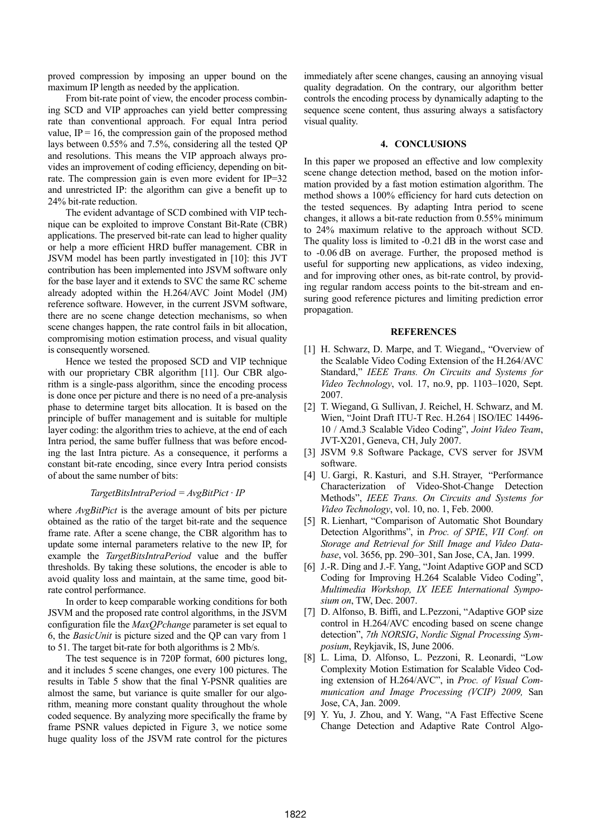proved compression by imposing an upper bound on the maximum IP length as needed by the application.

From bit-rate point of view, the encoder process combining SCD and VIP approaches can yield better compressing rate than conventional approach. For equal Intra period value,  $IP = 16$ , the compression gain of the proposed method lays between 0.55% and 7.5%, considering all the tested QP and resolutions. This means the VIP approach always provides an improvement of coding efficiency, depending on bitrate. The compression gain is even more evident for IP=32 and unrestricted IP: the algorithm can give a benefit up to 24% bit-rate reduction.

The evident advantage of SCD combined with VIP technique can be exploited to improve Constant Bit-Rate (CBR) applications. The preserved bit-rate can lead to higher quality or help a more efficient HRD buffer management. CBR in JSVM model has been partly investigated in [\[10\]:](#page-4-2) this JVT contribution has been implemented into JSVM software only for the base layer and it extends to SVC the same RC scheme already adopted within the H.264/AVC Joint Model (JM) reference software. However, in the current JSVM software, there are no scene change detection mechanisms, so when scene changes happen, the rate control fails in bit allocation, compromising motion estimation process, and visual quality is consequently worsened.

Hence we tested the proposed SCD and VIP technique with our proprietary CBR algorithm [\[11\].](#page-4-0) Our CBR algorithm is a single-pass algorithm, since the encoding process is done once per picture and there is no need of a pre-analysis phase to determine target bits allocation. It is based on the principle of buffer management and is suitable for multiple layer coding: the algorithm tries to achieve, at the end of each Intra period, the same buffer fullness that was before encoding the last Intra picture. As a consequence, it performs a constant bit-rate encoding, since every Intra period consists of about the same number of bits:

## *TargetBitsIntraPeriod = AvgBitPict · IP*

where *AvgBitPict* is the average amount of bits per picture obtained as the ratio of the target bit-rate and the sequence frame rate. After a scene change, the CBR algorithm has to update some internal parameters relative to the new IP, for example the *TargetBitsIntraPeriod* value and the buffer thresholds. By taking these solutions, the encoder is able to avoid quality loss and maintain, at the same time, good bitrate control performance.

In order to keep comparable working conditions for both JSVM and the proposed rate control algorithms, in the JSVM configuration file the *MaxQPchange* parameter is set equal to 6, the *BasicUnit* is picture sized and the QP can vary from 1 to 51. The target bit-rate for both algorithms is 2 Mb/s.

The test sequence is in 720P format, 600 pictures long, and it includes 5 scene changes, one every 100 pictures. The results in Table 5 show that the final Y-PSNR qualities are almost the same, but variance is quite smaller for our algorithm, meaning more constant quality throughout the whole coded sequence. By analyzing more specifically the frame by frame PSNR values depicted in Figure 3, we notice some huge quality loss of the JSVM rate control for the pictures immediately after scene changes, causing an annoying visual quality degradation. On the contrary, our algorithm better controls the encoding process by dynamically adapting to the sequence scene content, thus assuring always a satisfactory visual quality.

#### **4. CONCLUSIONS**

In this paper we proposed an effective and low complexity scene change detection method, based on the motion information provided by a fast motion estimation algorithm. The method shows a 100% efficiency for hard cuts detection on the tested sequences. By adapting Intra period to scene changes, it allows a bit-rate reduction from 0.55% minimum to 24% maximum relative to the approach without SCD. The quality loss is limited to -0.21 dB in the worst case and to -0.06 dB on average. Further, the proposed method is useful for supporting new applications, as video indexing, and for improving other ones, as bit-rate control, by providing regular random access points to the bit-stream and ensuring good reference pictures and limiting prediction error propagation.

## **REFERENCES**

- <span id="page-3-0"></span>[1] H. Schwarz, D. Marpe, and T. Wiegand,, "Overview of the Scalable Video Coding Extension of the H.264/AVC Standard," *IEEE Trans. On Circuits and Systems for Video Technology*, vol. 17, no.9, pp. 1103–1020, Sept. 2007.
- <span id="page-3-1"></span>[2] T. Wiegand, G. Sullivan, J. Reichel, H. Schwarz, and M. Wien, "Joint Draft ITU-T Rec. H.264 | ISO/IEC 14496- 10 / Amd.3 Scalable Video Coding", *Joint Video Team*, JVT-X201, Geneva, CH, July 2007.
- <span id="page-3-2"></span>[3] JSVM 9.8 Software Package, CVS server for JSVM software.
- <span id="page-3-3"></span>[4] U. Gargi, R. Kasturi, and S.H. Strayer, "Performance Characterization of Video-Shot-Change Detection Methods", *IEEE Trans. On Circuits and Systems for Video Technology*, vol. 10, no. 1, Feb. 2000.
- <span id="page-3-4"></span>[5] R. Lienhart, "Comparison of Automatic Shot Boundary Detection Algorithms", in *Proc. of SPIE*, *VII Conf. on Storage and Retrieval for Still Image and Video Database*, vol. 3656, pp. 290–301, San Jose, CA, Jan. 1999.
- <span id="page-3-5"></span>[6] J.-R. Ding and J.-F. Yang, "Joint Adaptive GOP and SCD Coding for Improving H.264 Scalable Video Coding", *Multimedia Workshop, IX IEEE International Symposium on*, TW, Dec. 2007.
- <span id="page-3-6"></span>[7] D. Alfonso, B. Biffi, and L.Pezzoni, "Adaptive GOP size control in H.264/AVC encoding based on scene change detection", *7th NORSIG*, *Nordic Signal Processing Symposium*, Reykjavik, IS, June 2006.
- <span id="page-3-7"></span>[8] L. Lima, D. Alfonso, L. Pezzoni, R. Leonardi, "Low Complexity Motion Estimation for Scalable Video Coding extension of H.264/AVC", in *Proc. of Visual Communication and Image Processing (VCIP) 2009,* San Jose, CA, Jan. 2009.
- [9] Y. Yu, J. Zhou, and Y. Wang, "A Fast Effective Scene Change Detection and Adaptive Rate Control Algo-